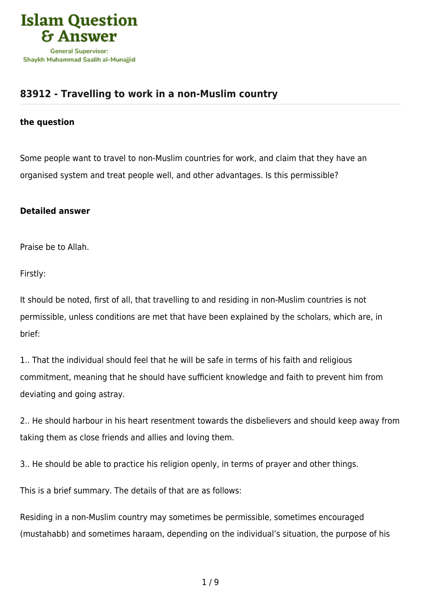

## **[83912 - Travelling to work in a non-Muslim country](https://islamqa.com/en/answers/83912/travelling-to-work-in-a-non-muslim-country)**

## **the question**

Some people want to travel to non-Muslim countries for work, and claim that they have an organised system and treat people well, and other advantages. Is this permissible?

## **Detailed answer**

Praise be to Allah.

Firstly:

It should be noted, first of all, that travelling to and residing in non-Muslim countries is not permissible, unless conditions are met that have been explained by the scholars, which are, in brief:

1.. That the individual should feel that he will be safe in terms of his faith and religious commitment, meaning that he should have sufficient knowledge and faith to prevent him from deviating and going astray.

2.. He should harbour in his heart resentment towards the disbelievers and should keep away from taking them as close friends and allies and loving them.

3.. He should be able to practice his religion openly, in terms of prayer and other things.

This is a brief summary. The details of that are as follows:

Residing in a non-Muslim country may sometimes be permissible, sometimes encouraged (mustahabb) and sometimes haraam, depending on the individual's situation, the purpose of his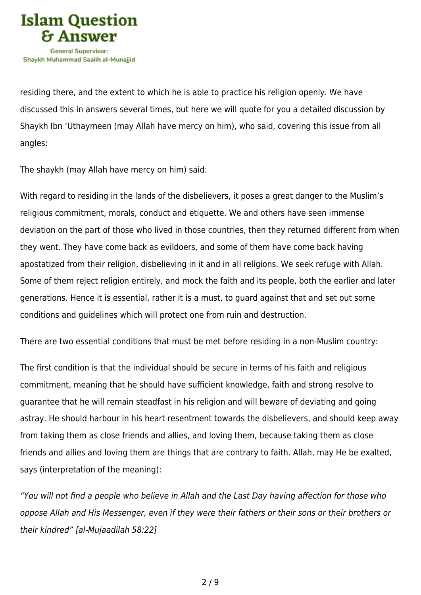

residing there, and the extent to which he is able to practice his religion openly. We have discussed this in answers several times, but here we will quote for you a detailed discussion by Shaykh Ibn 'Uthaymeen (may Allah have mercy on him), who said, covering this issue from all angles:

The shaykh (may Allah have mercy on him) said:

With regard to residing in the lands of the disbelievers, it poses a great danger to the Muslim's religious commitment, morals, conduct and etiquette. We and others have seen immense deviation on the part of those who lived in those countries, then they returned different from when they went. They have come back as evildoers, and some of them have come back having apostatized from their religion, disbelieving in it and in all religions. We seek refuge with Allah. Some of them reject religion entirely, and mock the faith and its people, both the earlier and later generations. Hence it is essential, rather it is a must, to guard against that and set out some conditions and guidelines which will protect one from ruin and destruction.

There are two essential conditions that must be met before residing in a non-Muslim country:

The first condition is that the individual should be secure in terms of his faith and religious commitment, meaning that he should have sufficient knowledge, faith and strong resolve to guarantee that he will remain steadfast in his religion and will beware of deviating and going astray. He should harbour in his heart resentment towards the disbelievers, and should keep away from taking them as close friends and allies, and loving them, because taking them as close friends and allies and loving them are things that are contrary to faith. Allah, may He be exalted, says (interpretation of the meaning):

"You will not find a people who believe in Allah and the Last Day having affection for those who oppose Allah and His Messenger, even if they were their fathers or their sons or their brothers or their kindred" [al-Mujaadilah 58:22]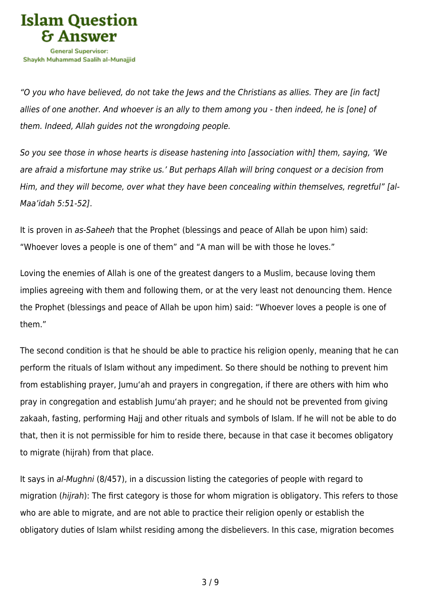

"O you who have believed, do not take the Jews and the Christians as allies. They are [in fact] allies of one another. And whoever is an ally to them among you - then indeed, he is [one] of them. Indeed, Allah guides not the wrongdoing people.

So you see those in whose hearts is disease hastening into [association with] them, saying, 'We are afraid a misfortune may strike us.' But perhaps Allah will bring conquest or a decision from Him, and they will become, over what they have been concealing within themselves, regretful" [al-Maa'idah 5:51-52].

It is proven in as-Saheeh that the Prophet (blessings and peace of Allah be upon him) said: "Whoever loves a people is one of them" and "A man will be with those he loves."

Loving the enemies of Allah is one of the greatest dangers to a Muslim, because loving them implies agreeing with them and following them, or at the very least not denouncing them. Hence the Prophet (blessings and peace of Allah be upon him) said: "Whoever loves a people is one of them."

The second condition is that he should be able to practice his religion openly, meaning that he can perform the rituals of Islam without any impediment. So there should be nothing to prevent him from establishing prayer, Jumu'ah and prayers in congregation, if there are others with him who pray in congregation and establish Jumu'ah prayer; and he should not be prevented from giving zakaah, fasting, performing Hajj and other rituals and symbols of Islam. If he will not be able to do that, then it is not permissible for him to reside there, because in that case it becomes obligatory to migrate (hijrah) from that place.

It says in al-Mughni (8/457), in a discussion listing the categories of people with regard to migration (hijrah): The first category is those for whom migration is obligatory. This refers to those who are able to migrate, and are not able to practice their religion openly or establish the obligatory duties of Islam whilst residing among the disbelievers. In this case, migration becomes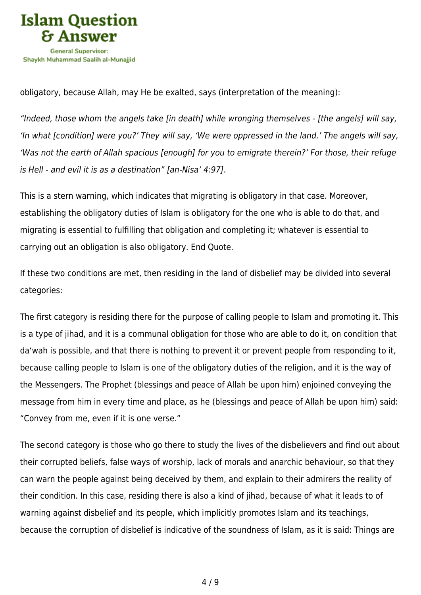

obligatory, because Allah, may He be exalted, says (interpretation of the meaning):

"Indeed, those whom the angels take [in death] while wronging themselves - [the angels] will say, 'In what [condition] were you?' They will say, 'We were oppressed in the land.' The angels will say, 'Was not the earth of Allah spacious [enough] for you to emigrate therein?' For those, their refuge is Hell - and evil it is as a destination" [an-Nisa' 4:97].

This is a stern warning, which indicates that migrating is obligatory in that case. Moreover, establishing the obligatory duties of Islam is obligatory for the one who is able to do that, and migrating is essential to fulfilling that obligation and completing it; whatever is essential to carrying out an obligation is also obligatory. End Quote.

If these two conditions are met, then residing in the land of disbelief may be divided into several categories:

The first category is residing there for the purpose of calling people to Islam and promoting it. This is a type of jihad, and it is a communal obligation for those who are able to do it, on condition that da'wah is possible, and that there is nothing to prevent it or prevent people from responding to it, because calling people to Islam is one of the obligatory duties of the religion, and it is the way of the Messengers. The Prophet (blessings and peace of Allah be upon him) enjoined conveying the message from him in every time and place, as he (blessings and peace of Allah be upon him) said: "Convey from me, even if it is one verse."

The second category is those who go there to study the lives of the disbelievers and find out about their corrupted beliefs, false ways of worship, lack of morals and anarchic behaviour, so that they can warn the people against being deceived by them, and explain to their admirers the reality of their condition. In this case, residing there is also a kind of jihad, because of what it leads to of warning against disbelief and its people, which implicitly promotes Islam and its teachings, because the corruption of disbelief is indicative of the soundness of Islam, as it is said: Things are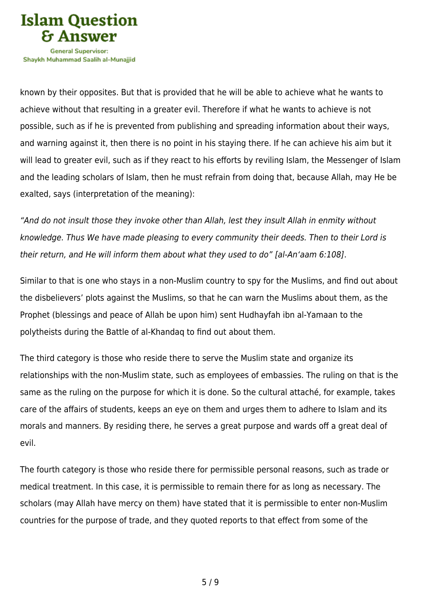

Shavkh Muhammad Saalih al-Munaiiid

known by their opposites. But that is provided that he will be able to achieve what he wants to achieve without that resulting in a greater evil. Therefore if what he wants to achieve is not possible, such as if he is prevented from publishing and spreading information about their ways, and warning against it, then there is no point in his staying there. If he can achieve his aim but it will lead to greater evil, such as if they react to his efforts by reviling Islam, the Messenger of Islam and the leading scholars of Islam, then he must refrain from doing that, because Allah, may He be exalted, says (interpretation of the meaning):

"And do not insult those they invoke other than Allah, lest they insult Allah in enmity without knowledge. Thus We have made pleasing to every community their deeds. Then to their Lord is their return, and He will inform them about what they used to do" [al-An'aam 6:108].

Similar to that is one who stays in a non-Muslim country to spy for the Muslims, and find out about the disbelievers' plots against the Muslims, so that he can warn the Muslims about them, as the Prophet (blessings and peace of Allah be upon him) sent Hudhayfah ibn al-Yamaan to the polytheists during the Battle of al-Khandaq to find out about them.

The third category is those who reside there to serve the Muslim state and organize its relationships with the non-Muslim state, such as employees of embassies. The ruling on that is the same as the ruling on the purpose for which it is done. So the cultural attaché, for example, takes care of the affairs of students, keeps an eye on them and urges them to adhere to Islam and its morals and manners. By residing there, he serves a great purpose and wards off a great deal of evil.

The fourth category is those who reside there for permissible personal reasons, such as trade or medical treatment. In this case, it is permissible to remain there for as long as necessary. The scholars (may Allah have mercy on them) have stated that it is permissible to enter non-Muslim countries for the purpose of trade, and they quoted reports to that effect from some of the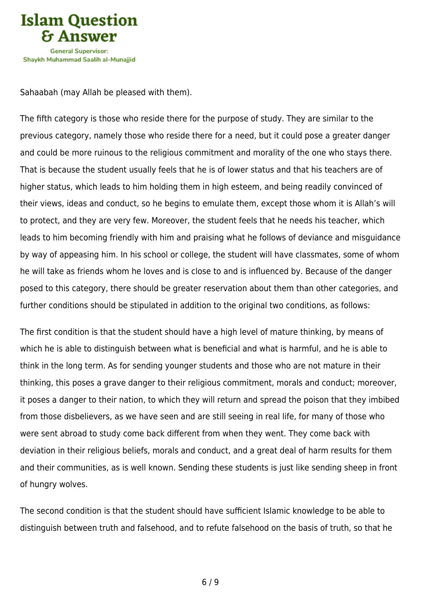

Sahaabah (may Allah be pleased with them).

The fifth category is those who reside there for the purpose of study. They are similar to the previous category, namely those who reside there for a need, but it could pose a greater danger and could be more ruinous to the religious commitment and morality of the one who stays there. That is because the student usually feels that he is of lower status and that his teachers are of higher status, which leads to him holding them in high esteem, and being readily convinced of their views, ideas and conduct, so he begins to emulate them, except those whom it is Allah's will to protect, and they are very few. Moreover, the student feels that he needs his teacher, which leads to him becoming friendly with him and praising what he follows of deviance and misguidance by way of appeasing him. In his school or college, the student will have classmates, some of whom he will take as friends whom he loves and is close to and is influenced by. Because of the danger posed to this category, there should be greater reservation about them than other categories, and further conditions should be stipulated in addition to the original two conditions, as follows:

The first condition is that the student should have a high level of mature thinking, by means of which he is able to distinguish between what is beneficial and what is harmful, and he is able to think in the long term. As for sending younger students and those who are not mature in their thinking, this poses a grave danger to their religious commitment, morals and conduct; moreover, it poses a danger to their nation, to which they will return and spread the poison that they imbibed from those disbelievers, as we have seen and are still seeing in real life, for many of those who were sent abroad to study come back different from when they went. They come back with deviation in their religious beliefs, morals and conduct, and a great deal of harm results for them and their communities, as is well known. Sending these students is just like sending sheep in front of hungry wolves.

The second condition is that the student should have sufficient Islamic knowledge to be able to distinguish between truth and falsehood, and to refute falsehood on the basis of truth, so that he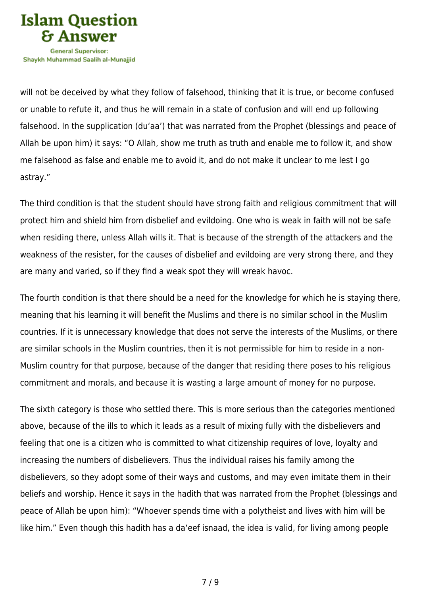

will not be deceived by what they follow of falsehood, thinking that it is true, or become confused or unable to refute it, and thus he will remain in a state of confusion and will end up following falsehood. In the supplication (du'aa') that was narrated from the Prophet (blessings and peace of Allah be upon him) it says: "O Allah, show me truth as truth and enable me to follow it, and show me falsehood as false and enable me to avoid it, and do not make it unclear to me lest I go astray."

The third condition is that the student should have strong faith and religious commitment that will protect him and shield him from disbelief and evildoing. One who is weak in faith will not be safe when residing there, unless Allah wills it. That is because of the strength of the attackers and the weakness of the resister, for the causes of disbelief and evildoing are very strong there, and they are many and varied, so if they find a weak spot they will wreak havoc.

The fourth condition is that there should be a need for the knowledge for which he is staying there, meaning that his learning it will benefit the Muslims and there is no similar school in the Muslim countries. If it is unnecessary knowledge that does not serve the interests of the Muslims, or there are similar schools in the Muslim countries, then it is not permissible for him to reside in a non-Muslim country for that purpose, because of the danger that residing there poses to his religious commitment and morals, and because it is wasting a large amount of money for no purpose.

The sixth category is those who settled there. This is more serious than the categories mentioned above, because of the ills to which it leads as a result of mixing fully with the disbelievers and feeling that one is a citizen who is committed to what citizenship requires of love, loyalty and increasing the numbers of disbelievers. Thus the individual raises his family among the disbelievers, so they adopt some of their ways and customs, and may even imitate them in their beliefs and worship. Hence it says in the hadith that was narrated from the Prophet (blessings and peace of Allah be upon him): "Whoever spends time with a polytheist and lives with him will be like him." Even though this hadith has a da'eef isnaad, the idea is valid, for living among people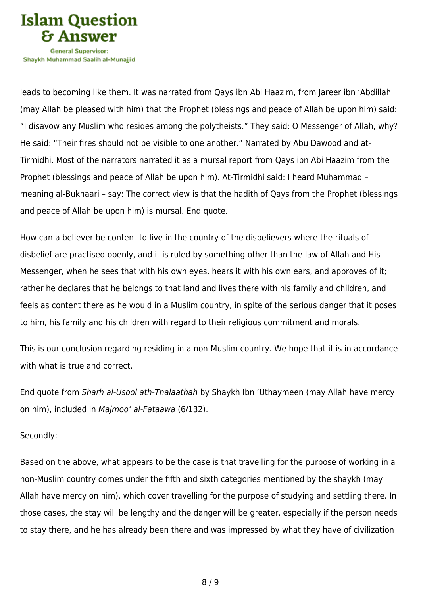

Shavkh Muhammad Saalih al-Munaiiid

leads to becoming like them. It was narrated from Qays ibn Abi Haazim, from Jareer ibn 'Abdillah (may Allah be pleased with him) that the Prophet (blessings and peace of Allah be upon him) said: "I disavow any Muslim who resides among the polytheists." They said: O Messenger of Allah, why? He said: "Their fires should not be visible to one another." Narrated by Abu Dawood and at-Tirmidhi. Most of the narrators narrated it as a mursal report from Qays ibn Abi Haazim from the Prophet (blessings and peace of Allah be upon him). At-Tirmidhi said: I heard Muhammad – meaning al-Bukhaari – say: The correct view is that the hadith of Qays from the Prophet (blessings and peace of Allah be upon him) is mursal. End quote.

How can a believer be content to live in the country of the disbelievers where the rituals of disbelief are practised openly, and it is ruled by something other than the law of Allah and His Messenger, when he sees that with his own eyes, hears it with his own ears, and approves of it; rather he declares that he belongs to that land and lives there with his family and children, and feels as content there as he would in a Muslim country, in spite of the serious danger that it poses to him, his family and his children with regard to their religious commitment and morals.

This is our conclusion regarding residing in a non-Muslim country. We hope that it is in accordance with what is true and correct.

End quote from Sharh al-Usool ath-Thalaathah by Shaykh Ibn 'Uthaymeen (may Allah have mercy on him), included in Majmoo' al-Fataawa (6/132).

## Secondly:

Based on the above, what appears to be the case is that travelling for the purpose of working in a non-Muslim country comes under the fifth and sixth categories mentioned by the shaykh (may Allah have mercy on him), which cover travelling for the purpose of studying and settling there. In those cases, the stay will be lengthy and the danger will be greater, especially if the person needs to stay there, and he has already been there and was impressed by what they have of civilization